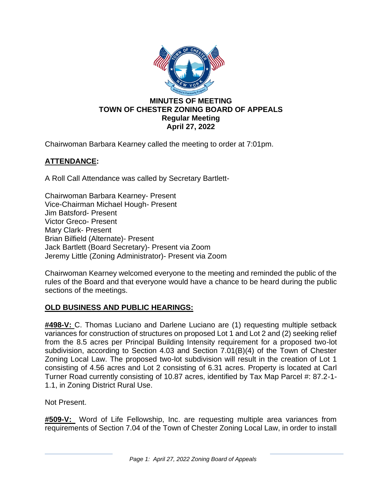

Chairwoman Barbara Kearney called the meeting to order at 7:01pm.

# **ATTENDANCE:**

A Roll Call Attendance was called by Secretary Bartlett-

Chairwoman Barbara Kearney- Present Vice-Chairman Michael Hough- Present Jim Batsford- Present Victor Greco- Present Mary Clark- Present Brian Bilfield (Alternate)- Present Jack Bartlett (Board Secretary)- Present via Zoom Jeremy Little (Zoning Administrator)- Present via Zoom

Chairwoman Kearney welcomed everyone to the meeting and reminded the public of the rules of the Board and that everyone would have a chance to be heard during the public sections of the meetings.

### **OLD BUSINESS AND PUBLIC HEARINGS:**

**#498-V:** C. Thomas Luciano and Darlene Luciano are (1) requesting multiple setback variances for construction of structures on proposed Lot 1 and Lot 2 and (2) seeking relief from the 8.5 acres per Principal Building Intensity requirement for a proposed two-lot subdivision, according to Section 4.03 and Section 7.01(B)(4) of the Town of Chester Zoning Local Law. The proposed two-lot subdivision will result in the creation of Lot 1 consisting of 4.56 acres and Lot 2 consisting of 6.31 acres. Property is located at Carl Turner Road currently consisting of 10.87 acres, identified by Tax Map Parcel #: 87.2-1- 1.1, in Zoning District Rural Use.

Not Present.

**#509-V:** Word of Life Fellowship, Inc. are requesting multiple area variances from requirements of Section 7.04 of the Town of Chester Zoning Local Law, in order to install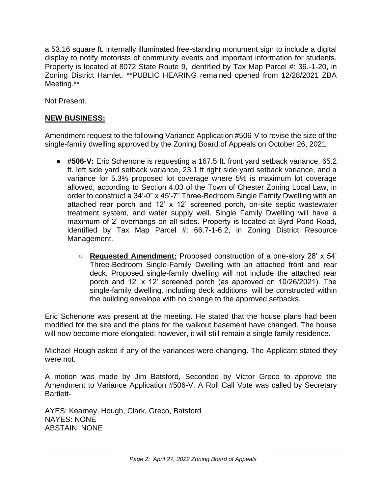a 53.16 square ft. internally illuminated free-standing monument sign to include a digital display to notify motorists of community events and important information for students. Property is located at 8072 State Route 9, identified by Tax Map Parcel #: 36.-1-20, in Zoning District Hamlet. \*\*PUBLIC HEARING remained opened from 12/28/2021 ZBA Meeting.\*\*

Not Present.

# **NEW BUSINESS:**

Amendment request to the following Variance Application #506-V to revise the size of the single-family dwelling approved by the Zoning Board of Appeals on October 26, 2021:

- **#506-V:** Eric Schenone is requesting a 167.5 ft. front yard setback variance, 65.2 ft. left side yard setback variance, 23.1 ft right side yard setback variance, and a variance for 5.3% proposed lot coverage where 5% is maximum lot coverage allowed, according to Section 4.03 of the Town of Chester Zoning Local Law, in order to construct a 34'-0" x 45'-7" Three-Bedroom Single Family Dwelling with an attached rear porch and 12' x 12' screened porch, on-site septic wastewater treatment system, and water supply well. Single Family Dwelling will have a maximum of 2' overhangs on all sides. Property is located at Byrd Pond Road, identified by Tax Map Parcel #: 66.7-1-6.2, in Zoning District Resource Management.
	- **Requested Amendment:** Proposed construction of a one-story 28' x 54' Three-Bedroom Single-Family Dwelling with an attached front and rear deck. Proposed single-family dwelling will not include the attached rear porch and 12' x 12' screened porch (as approved on 10/26/2021). The single-family dwelling, including deck additions, will be constructed within the building envelope with no change to the approved setbacks.

Eric Schenone was present at the meeting. He stated that the house plans had been modified for the site and the plans for the walkout basement have changed. The house will now become more elongated; however, it will still remain a single family residence.

Michael Hough asked if any of the variances were changing. The Applicant stated they were not.

A motion was made by Jim Batsford, Seconded by Victor Greco to approve the Amendment to Variance Application #506-V. A Roll Call Vote was called by Secretary Bartlett-

AYES: Kearney, Hough, Clark, Greco, Batsford NAYES: NONE ABSTAIN: NONE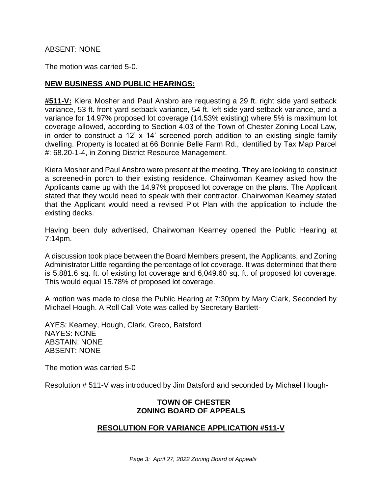### ABSENT: NONE

The motion was carried 5-0.

### **NEW BUSINESS AND PUBLIC HEARINGS:**

**#511-V:** Kiera Mosher and Paul Ansbro are requesting a 29 ft. right side yard setback variance, 53 ft. front yard setback variance, 54 ft. left side yard setback variance, and a variance for 14.97% proposed lot coverage (14.53% existing) where 5% is maximum lot coverage allowed, according to Section 4.03 of the Town of Chester Zoning Local Law, in order to construct a 12' x 14' screened porch addition to an existing single-family dwelling. Property is located at 66 Bonnie Belle Farm Rd., identified by Tax Map Parcel #: 68.20-1-4, in Zoning District Resource Management.

Kiera Mosher and Paul Ansbro were present at the meeting. They are looking to construct a screened-in porch to their existing residence. Chairwoman Kearney asked how the Applicants came up with the 14.97% proposed lot coverage on the plans. The Applicant stated that they would need to speak with their contractor. Chairwoman Kearney stated that the Applicant would need a revised Plot Plan with the application to include the existing decks.

Having been duly advertised, Chairwoman Kearney opened the Public Hearing at 7:14pm.

A discussion took place between the Board Members present, the Applicants, and Zoning Administrator Little regarding the percentage of lot coverage. It was determined that there is 5,881.6 sq. ft. of existing lot coverage and 6,049.60 sq. ft. of proposed lot coverage. This would equal 15.78% of proposed lot coverage.

A motion was made to close the Public Hearing at 7:30pm by Mary Clark, Seconded by Michael Hough. A Roll Call Vote was called by Secretary Bartlett-

AYES: Kearney, Hough, Clark, Greco, Batsford NAYES: NONE ABSTAIN: NONE ABSENT: NONE

The motion was carried 5-0

Resolution # 511-V was introduced by Jim Batsford and seconded by Michael Hough-

#### **TOWN OF CHESTER ZONING BOARD OF APPEALS**

### **RESOLUTION FOR VARIANCE APPLICATION #511-V**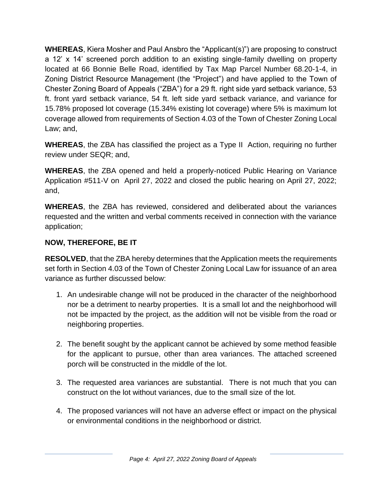**WHEREAS**, Kiera Mosher and Paul Ansbro the "Applicant(s)") are proposing to construct a 12' x 14' screened porch addition to an existing single-family dwelling on property located at 66 Bonnie Belle Road, identified by Tax Map Parcel Number 68.20-1-4, in Zoning District Resource Management (the "Project") and have applied to the Town of Chester Zoning Board of Appeals ("ZBA") for a 29 ft. right side yard setback variance, 53 ft. front yard setback variance, 54 ft. left side yard setback variance, and variance for 15.78% proposed lot coverage (15.34% existing lot coverage) where 5% is maximum lot coverage allowed from requirements of Section 4.03 of the Town of Chester Zoning Local Law; and,

**WHEREAS**, the ZBA has classified the project as a Type II Action, requiring no further review under SEQR; and,

**WHEREAS**, the ZBA opened and held a properly-noticed Public Hearing on Variance Application #511-V on April 27, 2022 and closed the public hearing on April 27, 2022; and,

**WHEREAS**, the ZBA has reviewed, considered and deliberated about the variances requested and the written and verbal comments received in connection with the variance application;

# **NOW, THEREFORE, BE IT**

**RESOLVED**, that the ZBA hereby determines that the Application meets the requirements set forth in Section 4.03 of the Town of Chester Zoning Local Law for issuance of an area variance as further discussed below:

- 1. An undesirable change will not be produced in the character of the neighborhood nor be a detriment to nearby properties. It is a small lot and the neighborhood will not be impacted by the project, as the addition will not be visible from the road or neighboring properties.
- 2. The benefit sought by the applicant cannot be achieved by some method feasible for the applicant to pursue, other than area variances. The attached screened porch will be constructed in the middle of the lot.
- 3. The requested area variances are substantial. There is not much that you can construct on the lot without variances, due to the small size of the lot.
- 4. The proposed variances will not have an adverse effect or impact on the physical or environmental conditions in the neighborhood or district.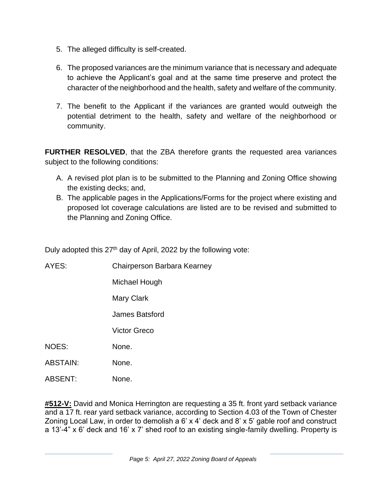- 5. The alleged difficulty is self-created.
- 6. The proposed variances are the minimum variance that is necessary and adequate to achieve the Applicant's goal and at the same time preserve and protect the character of the neighborhood and the health, safety and welfare of the community.
- 7. The benefit to the Applicant if the variances are granted would outweigh the potential detriment to the health, safety and welfare of the neighborhood or community.

**FURTHER RESOLVED**, that the ZBA therefore grants the requested area variances subject to the following conditions:

- A. A revised plot plan is to be submitted to the Planning and Zoning Office showing the existing decks; and,
- B. The applicable pages in the Applications/Forms for the project where existing and proposed lot coverage calculations are listed are to be revised and submitted to the Planning and Zoning Office.

Duly adopted this 27<sup>th</sup> day of April, 2022 by the following vote:

| AYES:           | Chairperson Barbara Kearney |
|-----------------|-----------------------------|
|                 | Michael Hough               |
|                 | Mary Clark                  |
|                 | James Batsford              |
|                 | Victor Greco                |
| <b>NOES:</b>    | None.                       |
| <b>ABSTAIN:</b> | None.                       |
| <b>ABSENT:</b>  | None.                       |

**#512-V:** David and Monica Herrington are requesting a 35 ft. front yard setback variance and a 17 ft. rear yard setback variance, according to Section 4.03 of the Town of Chester Zoning Local Law, in order to demolish a 6' x 4' deck and 8' x 5' gable roof and construct a 13'-4" x 6' deck and 16' x 7' shed roof to an existing single-family dwelling. Property is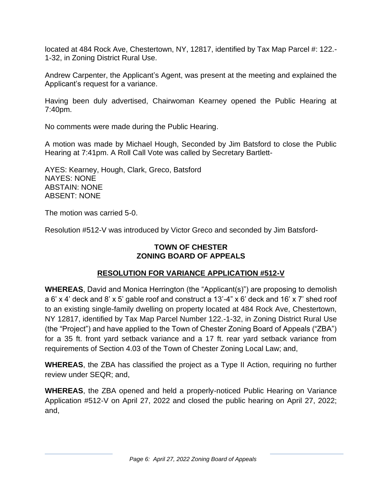located at 484 Rock Ave, Chestertown, NY, 12817, identified by Tax Map Parcel #: 122.- 1-32, in Zoning District Rural Use.

Andrew Carpenter, the Applicant's Agent, was present at the meeting and explained the Applicant's request for a variance.

Having been duly advertised, Chairwoman Kearney opened the Public Hearing at 7:40pm.

No comments were made during the Public Hearing.

A motion was made by Michael Hough, Seconded by Jim Batsford to close the Public Hearing at 7:41pm. A Roll Call Vote was called by Secretary Bartlett-

AYES: Kearney, Hough, Clark, Greco, Batsford NAYES: NONE ABSTAIN: NONE ABSENT: NONE

The motion was carried 5-0.

Resolution #512-V was introduced by Victor Greco and seconded by Jim Batsford-

# **TOWN OF CHESTER ZONING BOARD OF APPEALS**

# **RESOLUTION FOR VARIANCE APPLICATION #512-V**

**WHEREAS**, David and Monica Herrington (the "Applicant(s)") are proposing to demolish a 6' x 4' deck and 8' x 5' gable roof and construct a 13'-4" x 6' deck and 16' x 7' shed roof to an existing single-family dwelling on property located at 484 Rock Ave, Chestertown, NY 12817, identified by Tax Map Parcel Number 122.-1-32, in Zoning District Rural Use (the "Project") and have applied to the Town of Chester Zoning Board of Appeals ("ZBA") for a 35 ft. front yard setback variance and a 17 ft. rear yard setback variance from requirements of Section 4.03 of the Town of Chester Zoning Local Law; and,

**WHEREAS**, the ZBA has classified the project as a Type II Action, requiring no further review under SEQR; and,

**WHEREAS**, the ZBA opened and held a properly-noticed Public Hearing on Variance Application #512-V on April 27, 2022 and closed the public hearing on April 27, 2022; and,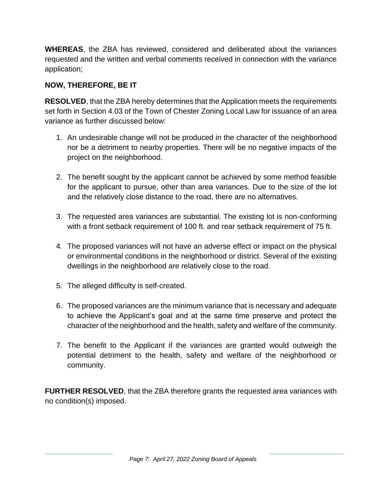**WHEREAS**, the ZBA has reviewed, considered and deliberated about the variances requested and the written and verbal comments received in connection with the variance application;

# **NOW, THEREFORE, BE IT**

**RESOLVED**, that the ZBA hereby determines that the Application meets the requirements set forth in Section 4.03 of the Town of Chester Zoning Local Law for issuance of an area variance as further discussed below:

- 1. An undesirable change will not be produced in the character of the neighborhood nor be a detriment to nearby properties. There will be no negative impacts of the project on the neighborhood.
- 2. The benefit sought by the applicant cannot be achieved by some method feasible for the applicant to pursue, other than area variances. Due to the size of the lot and the relatively close distance to the road, there are no alternatives.
- 3. The requested area variances are substantial. The existing lot is non-conforming with a front setback requirement of 100 ft. and rear setback requirement of 75 ft.
- 4. The proposed variances will not have an adverse effect or impact on the physical or environmental conditions in the neighborhood or district. Several of the existing dwellings in the neighborhood are relatively close to the road.
- 5. The alleged difficulty is self-created.
- 6. The proposed variances are the minimum variance that is necessary and adequate to achieve the Applicant's goal and at the same time preserve and protect the character of the neighborhood and the health, safety and welfare of the community.
- 7. The benefit to the Applicant if the variances are granted would outweigh the potential detriment to the health, safety and welfare of the neighborhood or community.

**FURTHER RESOLVED**, that the ZBA therefore grants the requested area variances with no condition(s) imposed.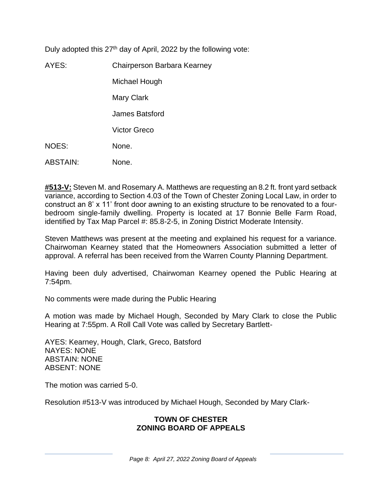Duly adopted this 27<sup>th</sup> day of April, 2022 by the following vote:

AYES: Chairperson Barbara Kearney Michael Hough Mary Clark James Batsford Victor Greco NOES: None. ABSTAIN: None.

**#513-V:** Steven M. and Rosemary A. Matthews are requesting an 8.2 ft. front yard setback variance, according to Section 4.03 of the Town of Chester Zoning Local Law, in order to construct an 8' x 11' front door awning to an existing structure to be renovated to a fourbedroom single-family dwelling. Property is located at 17 Bonnie Belle Farm Road, identified by Tax Map Parcel #: 85.8-2-5, in Zoning District Moderate Intensity.

Steven Matthews was present at the meeting and explained his request for a variance. Chairwoman Kearney stated that the Homeowners Association submitted a letter of approval. A referral has been received from the Warren County Planning Department.

Having been duly advertised, Chairwoman Kearney opened the Public Hearing at 7:54pm.

No comments were made during the Public Hearing

A motion was made by Michael Hough, Seconded by Mary Clark to close the Public Hearing at 7:55pm. A Roll Call Vote was called by Secretary Bartlett-

AYES: Kearney, Hough, Clark, Greco, Batsford NAYES: NONE ABSTAIN: NONE ABSENT: NONE

The motion was carried 5-0.

Resolution #513-V was introduced by Michael Hough, Seconded by Mary Clark-

### **TOWN OF CHESTER ZONING BOARD OF APPEALS**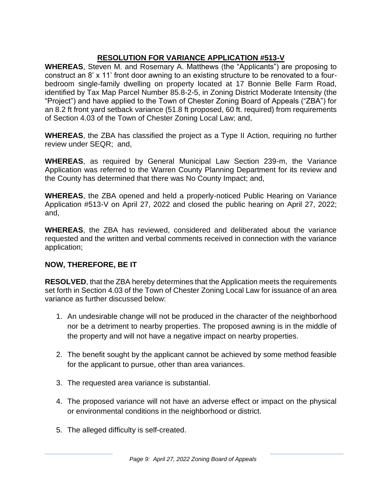# **RESOLUTION FOR VARIANCE APPLICATION #513-V**

**WHEREAS**, Steven M. and Rosemary A. Matthews (the "Applicants") are proposing to construct an 8' x 11' front door awning to an existing structure to be renovated to a fourbedroom single-family dwelling on property located at 17 Bonnie Belle Farm Road, identified by Tax Map Parcel Number 85.8-2-5, in Zoning District Moderate Intensity (the "Project") and have applied to the Town of Chester Zoning Board of Appeals ("ZBA") for an 8.2 ft front yard setback variance (51.8 ft proposed, 60 ft. required) from requirements of Section 4.03 of the Town of Chester Zoning Local Law; and,

**WHEREAS**, the ZBA has classified the project as a Type II Action, requiring no further review under SEQR; and,

**WHEREAS**, as required by General Municipal Law Section 239-m, the Variance Application was referred to the Warren County Planning Department for its review and the County has determined that there was No County Impact; and,

**WHEREAS**, the ZBA opened and held a properly-noticed Public Hearing on Variance Application #513-V on April 27, 2022 and closed the public hearing on April 27, 2022; and,

**WHEREAS**, the ZBA has reviewed, considered and deliberated about the variance requested and the written and verbal comments received in connection with the variance application;

# **NOW, THEREFORE, BE IT**

**RESOLVED**, that the ZBA hereby determines that the Application meets the requirements set forth in Section 4.03 of the Town of Chester Zoning Local Law for issuance of an area variance as further discussed below:

- 1. An undesirable change will not be produced in the character of the neighborhood nor be a detriment to nearby properties. The proposed awning is in the middle of the property and will not have a negative impact on nearby properties.
- 2. The benefit sought by the applicant cannot be achieved by some method feasible for the applicant to pursue, other than area variances.
- 3. The requested area variance is substantial.
- 4. The proposed variance will not have an adverse effect or impact on the physical or environmental conditions in the neighborhood or district.
- 5. The alleged difficulty is self-created.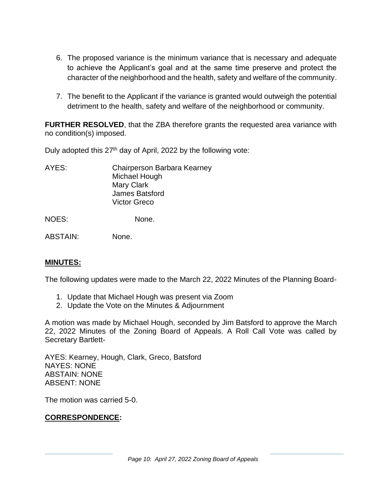- 6. The proposed variance is the minimum variance that is necessary and adequate to achieve the Applicant's goal and at the same time preserve and protect the character of the neighborhood and the health, safety and welfare of the community.
- 7. The benefit to the Applicant if the variance is granted would outweigh the potential detriment to the health, safety and welfare of the neighborhood or community.

**FURTHER RESOLVED**, that the ZBA therefore grants the requested area variance with no condition(s) imposed.

Duly adopted this 27<sup>th</sup> day of April, 2022 by the following vote:

AYES: Chairperson Barbara Kearney Michael Hough Mary Clark James Batsford Victor Greco

NOES: None.

ABSTAIN: None.

# **MINUTES:**

The following updates were made to the March 22, 2022 Minutes of the Planning Board-

- 1. Update that Michael Hough was present via Zoom
- 2. Update the Vote on the Minutes & Adjournment

A motion was made by Michael Hough, seconded by Jim Batsford to approve the March 22, 2022 Minutes of the Zoning Board of Appeals. A Roll Call Vote was called by Secretary Bartlett-

AYES: Kearney, Hough, Clark, Greco, Batsford NAYES: NONE ABSTAIN: NONE ABSENT: NONE

The motion was carried 5-0.

# **CORRESPONDENCE:**